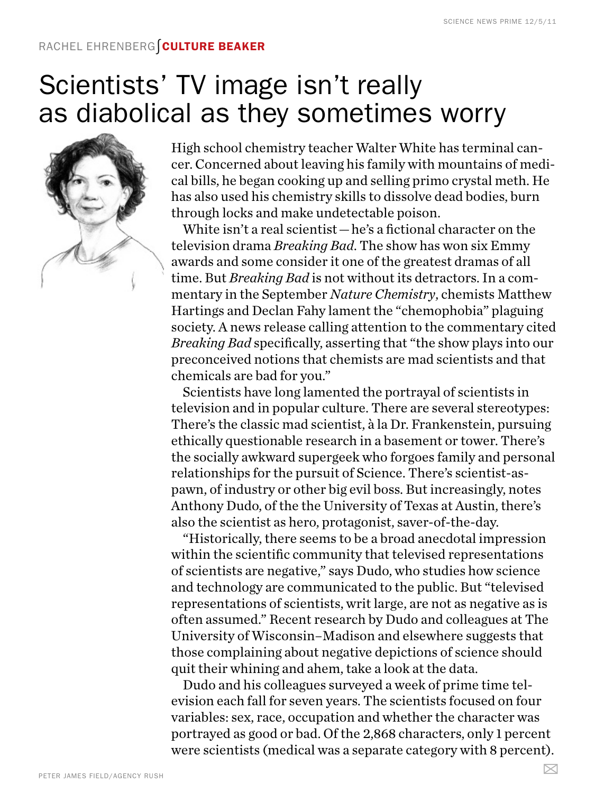## Rachel Ehrenberg∫Culture beaker

## Scientists' TV image isn't really as diabolical as they sometimes worry



High school chemistry teacher Walter White has terminal cancer. Concerned about leaving his family with mountains of medical bills, he began cooking up and selling primo crystal meth. He has also used his chemistry skills to dissolve dead bodies, burn through locks and make undetectable poison.

White isn't a real scientist—he's a fictional character on the television drama *Breaking Bad*. The show has won six Emmy awards and some consider it one of the greatest dramas of all time. But *Breaking Bad* is not without its detractors. In a commentary in the September *Nature Chemistry*, chemists Matthew Hartings and Declan Fahy lament the "chemophobia" plaguing society. A news release calling attention to the commentary cited *Breaking Bad* specifically, asserting that "the show plays into our preconceived notions that chemists are mad scientists and that chemicals are bad for you."

Scientists have long lamented the portrayal of scientists in television and in popular culture. There are several stereotypes: There's the classic mad scientist, à la Dr. Frankenstein, pursuing ethically questionable research in a basement or tower. There's the socially awkward supergeek who forgoes family and personal relationships for the pursuit of Science. There's scientist-aspawn, of industry or other big evil boss. But increasingly, notes Anthony Dudo, of the the University of Texas at Austin, there's also the scientist as hero, protagonist, saver-of-the-day.

"Historically, there seems to be a broad anecdotal impression within the scientific community that televised representations of scientists are negative," says Dudo, who studies how science and technology are communicated to the public. But "televised representations of scientists, writ large, are not as negative as is often assumed." Recent research by Dudo and colleagues at The University of Wisconsin–Madison and elsewhere suggests that those complaining about negative depictions of science should quit their whining and ahem, take a look at the data.

Dudo and his colleagues surveyed a week of prime time television each fall for seven years. The scientists focused on four variables: sex, race, occupation and whether the character was portrayed as good or bad. Of the 2,868 characters, only 1 percent were scientists (medical was a separate category with 8 percent).